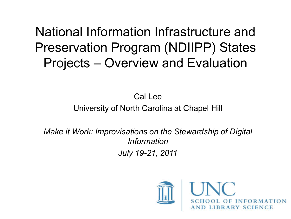National Information Infrastructure and Preservation Program (NDIIPP) States Projects – Overview and Evaluation

> Cal Lee University of North Carolina at Chapel Hill

*Make it Work: Improvisations on the Stewardship of Digital Information July 19-21, 2011*

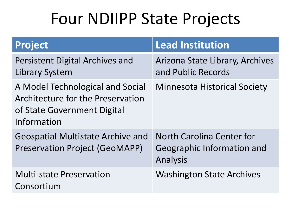#### Four NDIIPP State Projects

| <b>Project</b>                                                                                                      | <b>Lead Institution</b>                                             |
|---------------------------------------------------------------------------------------------------------------------|---------------------------------------------------------------------|
| <b>Persistent Digital Archives and</b><br>Library System                                                            | Arizona State Library, Archives<br>and Public Records               |
| A Model Technological and Social<br>Architecture for the Preservation<br>of State Government Digital<br>Information | <b>Minnesota Historical Society</b>                                 |
| <b>Geospatial Multistate Archive and</b><br><b>Preservation Project (GeoMAPP)</b>                                   | North Carolina Center for<br>Geographic Information and<br>Analysis |
| <b>Multi-state Preservation</b><br>Consortium                                                                       | <b>Washington State Archives</b>                                    |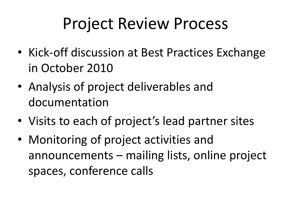#### Project Review Process

- Kick-off discussion at Best Practices Exchange in October 2010
- Analysis of project deliverables and documentation
- Visits to each of project's lead partner sites
- Monitoring of project activities and announcements – mailing lists, online project spaces, conference calls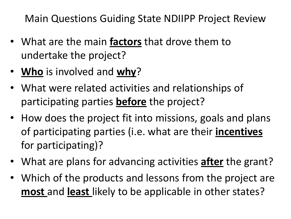Main Questions Guiding State NDIIPP Project Review

- What are the main **factors** that drove them to undertake the project?
- **Who** is involved and **why**?
- What were related activities and relationships of participating parties **before** the project?
- How does the project fit into missions, goals and plans of participating parties (i.e. what are their **incentives** for participating)?
- What are plans for advancing activities **after** the grant?
- Which of the products and lessons from the project are **most** and **least** likely to be applicable in other states?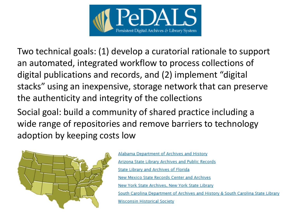

Two technical goals: (1) develop a curatorial rationale to support an automated, integrated workflow to process collections of digital publications and records, and (2) implement "digital stacks" using an inexpensive, storage network that can preserve the authenticity and integrity of the collections

Social goal: build a community of shared practice including a wide range of repositories and remove barriers to technology adoption by keeping costs low



Alabama Department of Archives and History Arizona State Library Archives and Public Records State Library and Archives of Florida New Mexico State Records Center and Archives New York State Archives, New York State Library South Carolina Department of Archives and History & South Carolina State Library **Wisconsin Historical Society**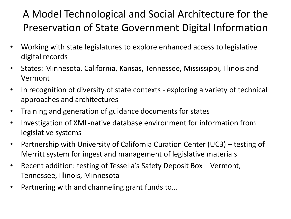#### A Model Technological and Social Architecture for the Preservation of State Government Digital Information

- Working with state legislatures to explore enhanced access to legislative digital records
- States: Minnesota, California, Kansas, Tennessee, Mississippi, Illinois and Vermont
- In recognition of diversity of state contexts exploring a variety of technical approaches and architectures
- Training and generation of guidance documents for states
- Investigation of XML-native database environment for information from legislative systems
- Partnership with University of California Curation Center (UC3) testing of Merritt system for ingest and management of legislative materials
- Recent addition: testing of Tessella's Safety Deposit Box Vermont, Tennessee, Illinois, Minnesota
- Partnering with and channeling grant funds to…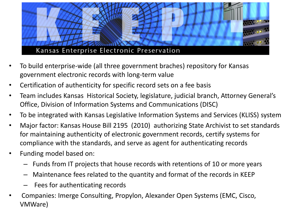

- To build enterprise-wide (all three government braches) repository for Kansas government electronic records with long-term value
- Certification of authenticity for specific record sets on a fee basis
- Team includes Kansas Historical Society, legislature, judicial branch, Attorney General's Office, Division of Information Systems and Communications (DISC)
- To be integrated with Kansas Legislative Information Systems and Services (KLISS) system
- Major factor: Kansas House Bill 2195 (2010) authorizing State Archivist to set standards for maintaining authenticity of electronic government records, certify systems for compliance with the standards, and serve as agent for authenticating records
- Funding model based on:
	- Funds from IT projects that house records with retentions of 10 or more years
	- Maintenance fees related to the quantity and format of the records in KEEP
	- Fees for authenticating records
- Companies: Imerge Consulting, Propylon, Alexander Open Systems (EMC, Cisco, VMWare)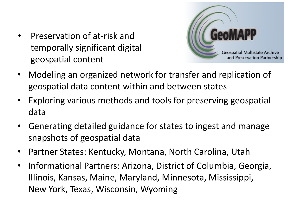• Preservation of at-risk and temporally significant digital geospatial content



- Modeling an organized network for transfer and replication of geospatial data content within and between states
- Exploring various methods and tools for preserving geospatial data
- Generating detailed guidance for states to ingest and manage snapshots of geospatial data
- Partner States: Kentucky, Montana, North Carolina, Utah
- Informational Partners: Arizona, District of Columbia, Georgia, Illinois, Kansas, Maine, Maryland, Minnesota, Mississippi, New York, Texas, Wisconsin, Wyoming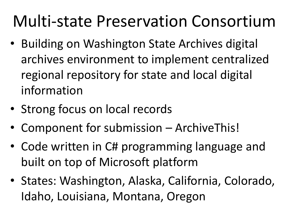# Multi-state Preservation Consortium

- Building on Washington State Archives digital archives environment to implement centralized regional repository for state and local digital information
- Strong focus on local records
- Component for submission ArchiveThis!
- Code written in C# programming language and built on top of Microsoft platform
- States: Washington, Alaska, California, Colorado, Idaho, Louisiana, Montana, Oregon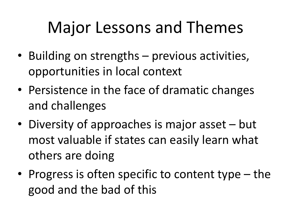# Major Lessons and Themes

- Building on strengths previous activities, opportunities in local context
- Persistence in the face of dramatic changes and challenges
- Diversity of approaches is major asset but most valuable if states can easily learn what others are doing
- Progress is often specific to content type the good and the bad of this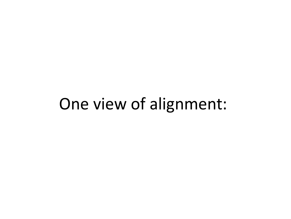#### One view of alignment: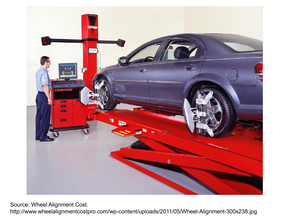

Source: Wheel Alignment Cost. http://www.wheelalignmentcostpro.com/wp-content/uploads/2011/05/Wheel-Alignment-300x238.jpg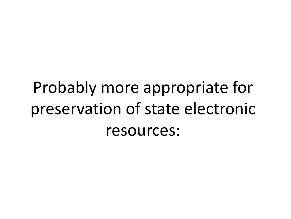# Probably more appropriate for preservation of state electronic resources: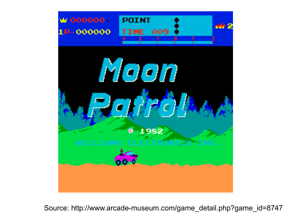

Source: http://www.arcade-museum.com/game\_detail.php?game\_id=8747